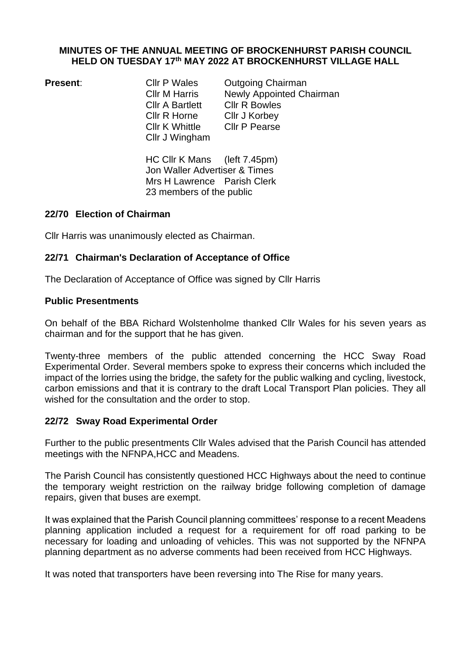#### **MINUTES OF THE ANNUAL MEETING OF BROCKENHURST PARISH COUNCIL HELD ON TUESDAY 17th MAY 2022 AT BROCKENHURST VILLAGE HALL**

Cllr A Bartlett Cllr R Bowles Cllr R Horne Cllr J Korbey Cllr K Whittle Cllr P Pearse Cllr J Wingham

**Present:** Cllr P Wales Outgoing Chairman Cllr M Harris Newly Appointed Chairman

> HC Cllr K Mans (left 7.45pm) Jon Waller Advertiser & Times Mrs H Lawrence Parish Clerk 23 members of the public

## **22/70 Election of Chairman**

Cllr Harris was unanimously elected as Chairman.

# **22/71 Chairman's Declaration of Acceptance of Office**

The Declaration of Acceptance of Office was signed by Cllr Harris

## **Public Presentments**

On behalf of the BBA Richard Wolstenholme thanked Cllr Wales for his seven years as chairman and for the support that he has given.

Twenty-three members of the public attended concerning the HCC Sway Road Experimental Order. Several members spoke to express their concerns which included the impact of the lorries using the bridge, the safety for the public walking and cycling, livestock, carbon emissions and that it is contrary to the draft Local Transport Plan policies. They all wished for the consultation and the order to stop.

# **22/72 Sway Road Experimental Order**

Further to the public presentments Cllr Wales advised that the Parish Council has attended meetings with the NFNPA,HCC and Meadens.

The Parish Council has consistently questioned HCC Highways about the need to continue the temporary weight restriction on the railway bridge following completion of damage repairs, given that buses are exempt.

It was explained that the Parish Council planning committees' response to a recent Meadens planning application included a request for a requirement for off road parking to be necessary for loading and unloading of vehicles. This was not supported by the NFNPA planning department as no adverse comments had been received from HCC Highways.

It was noted that transporters have been reversing into The Rise for many years.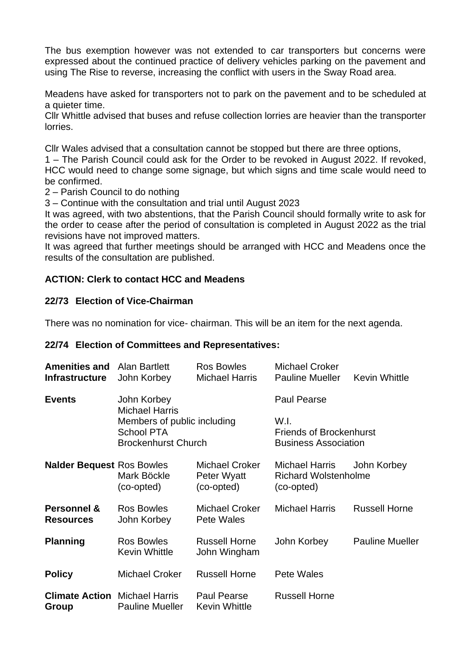The bus exemption however was not extended to car transporters but concerns were expressed about the continued practice of delivery vehicles parking on the pavement and using The Rise to reverse, increasing the conflict with users in the Sway Road area.

Meadens have asked for transporters not to park on the pavement and to be scheduled at a quieter time.

Cllr Whittle advised that buses and refuse collection lorries are heavier than the transporter lorries.

Cllr Wales advised that a consultation cannot be stopped but there are three options,

1 – The Parish Council could ask for the Order to be revoked in August 2022. If revoked, HCC would need to change some signage, but which signs and time scale would need to be confirmed.

2 – Parish Council to do nothing

3 – Continue with the consultation and trial until August 2023

It was agreed, with two abstentions, that the Parish Council should formally write to ask for the order to cease after the period of consultation is completed in August 2022 as the trial revisions have not improved matters.

It was agreed that further meetings should be arranged with HCC and Meadens once the results of the consultation are published.

## **ACTION: Clerk to contact HCC and Meadens**

## **22/73 Election of Vice-Chairman**

There was no nomination for vice- chairman. This will be an item for the next agenda.

#### **22/74 Election of Committees and Representatives:**

| <b>Amenities and Alan Bartlett</b><br><b>Infrastructure</b> | John Korbey                                                                    | Ros Bowles<br><b>Michael Harris</b>         | <b>Michael Croker</b><br><b>Pauline Mueller</b>                       | <b>Kevin Whittle</b>   |
|-------------------------------------------------------------|--------------------------------------------------------------------------------|---------------------------------------------|-----------------------------------------------------------------------|------------------------|
| <b>Events</b>                                               | John Korbey<br><b>Michael Harris</b>                                           |                                             | <b>Paul Pearse</b>                                                    |                        |
|                                                             | Members of public including<br><b>School PTA</b><br><b>Brockenhurst Church</b> |                                             | W.I.<br><b>Friends of Brockenhurst</b><br><b>Business Association</b> |                        |
| <b>Nalder Bequest Ros Bowles</b>                            | Mark Böckle<br>(co-opted)                                                      | Michael Croker<br>Peter Wyatt<br>(co-opted) | Michael Harris<br><b>Richard Wolstenholme</b><br>(co-opted)           | John Korbey            |
| <b>Personnel &amp;</b><br><b>Resources</b>                  | Ros Bowles<br>John Korbey                                                      | <b>Michael Croker</b><br>Pete Wales         | <b>Michael Harris</b>                                                 | <b>Russell Horne</b>   |
| <b>Planning</b>                                             | <b>Ros Bowles</b><br><b>Kevin Whittle</b>                                      | <b>Russell Horne</b><br>John Wingham        | John Korbey                                                           | <b>Pauline Mueller</b> |
| <b>Policy</b>                                               | Michael Croker                                                                 | <b>Russell Horne</b>                        | Pete Wales                                                            |                        |
| <b>Climate Action</b> Michael Harris<br>Group               | <b>Pauline Mueller</b>                                                         | Paul Pearse<br>Kevin Whittle                | <b>Russell Horne</b>                                                  |                        |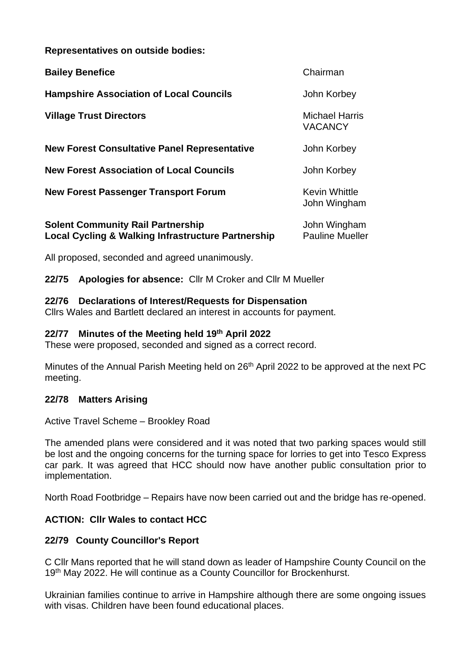**Representatives on outside bodies:**

| <b>Bailey Benefice</b>                                                                                    | Chairman                                |
|-----------------------------------------------------------------------------------------------------------|-----------------------------------------|
| <b>Hampshire Association of Local Councils</b>                                                            | John Korbey                             |
| <b>Village Trust Directors</b>                                                                            | <b>Michael Harris</b><br><b>VACANCY</b> |
| <b>New Forest Consultative Panel Representative</b>                                                       | John Korbey                             |
| <b>New Forest Association of Local Councils</b>                                                           | John Korbey                             |
| <b>New Forest Passenger Transport Forum</b>                                                               | <b>Kevin Whittle</b><br>John Wingham    |
| <b>Solent Community Rail Partnership</b><br><b>Local Cycling &amp; Walking Infrastructure Partnership</b> | John Wingham<br><b>Pauline Mueller</b>  |

All proposed, seconded and agreed unanimously.

**22/75 Apologies for absence:** Cllr M Croker and Cllr M Mueller

## **22/76 Declarations of Interest/Requests for Dispensation**

Cllrs Wales and Bartlett declared an interest in accounts for payment.

## **22/77 Minutes of the Meeting held 19th April 2022**

These were proposed, seconded and signed as a correct record.

Minutes of the Annual Parish Meeting held on 26<sup>th</sup> April 2022 to be approved at the next PC meeting.

## **22/78 Matters Arising**

Active Travel Scheme – Brookley Road

The amended plans were considered and it was noted that two parking spaces would still be lost and the ongoing concerns for the turning space for lorries to get into Tesco Express car park. It was agreed that HCC should now have another public consultation prior to implementation.

North Road Footbridge – Repairs have now been carried out and the bridge has re-opened.

# **ACTION: Cllr Wales to contact HCC**

## **22/79 County Councillor's Report**

C Cllr Mans reported that he will stand down as leader of Hampshire County Council on the 19<sup>th</sup> May 2022. He will continue as a County Councillor for Brockenhurst.

Ukrainian families continue to arrive in Hampshire although there are some ongoing issues with visas. Children have been found educational places.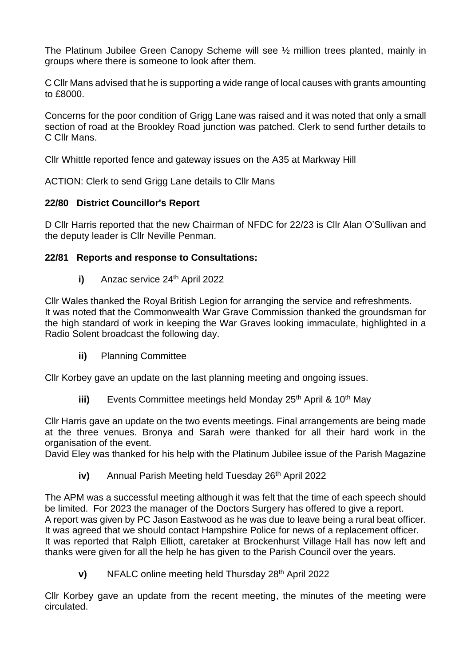The Platinum Jubilee Green Canopy Scheme will see ½ million trees planted, mainly in groups where there is someone to look after them.

C Cllr Mans advised that he is supporting a wide range of local causes with grants amounting to £8000.

Concerns for the poor condition of Grigg Lane was raised and it was noted that only a small section of road at the Brookley Road junction was patched. Clerk to send further details to C Cllr Mans.

Cllr Whittle reported fence and gateway issues on the A35 at Markway Hill

ACTION: Clerk to send Grigg Lane details to Cllr Mans

## **22/80 District Councillor's Report**

D Cllr Harris reported that the new Chairman of NFDC for 22/23 is Cllr Alan O'Sullivan and the deputy leader is Cllr Neville Penman.

## **22/81 Reports and response to Consultations:**

**i)** Anzac service 24<sup>th</sup> April 2022

Cllr Wales thanked the Royal British Legion for arranging the service and refreshments. It was noted that the Commonwealth War Grave Commission thanked the groundsman for the high standard of work in keeping the War Graves looking immaculate, highlighted in a Radio Solent broadcast the following day.

**ii)** Planning Committee

Cllr Korbey gave an update on the last planning meeting and ongoing issues.

**iii)** Events Committee meetings held Monday 25<sup>th</sup> April & 10<sup>th</sup> May

Cllr Harris gave an update on the two events meetings. Final arrangements are being made at the three venues. Bronya and Sarah were thanked for all their hard work in the organisation of the event.

David Eley was thanked for his help with the Platinum Jubilee issue of the Parish Magazine

**iv)** Annual Parish Meeting held Tuesday 26<sup>th</sup> April 2022

The APM was a successful meeting although it was felt that the time of each speech should be limited. For 2023 the manager of the Doctors Surgery has offered to give a report. A report was given by PC Jason Eastwood as he was due to leave being a rural beat officer. It was agreed that we should contact Hampshire Police for news of a replacement officer. It was reported that Ralph Elliott, caretaker at Brockenhurst Village Hall has now left and thanks were given for all the help he has given to the Parish Council over the years.

**v)** NFALC online meeting held Thursday 28<sup>th</sup> April 2022

Cllr Korbey gave an update from the recent meeting, the minutes of the meeting were circulated.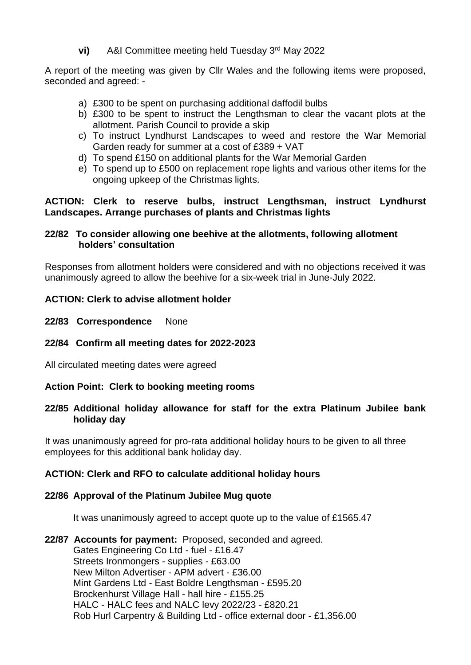**vi)** A&I Committee meeting held Tuesday 3rd May 2022

A report of the meeting was given by Cllr Wales and the following items were proposed, seconded and agreed: -

- a) £300 to be spent on purchasing additional daffodil bulbs
- b) £300 to be spent to instruct the Lengthsman to clear the vacant plots at the allotment. Parish Council to provide a skip
- c) To instruct Lyndhurst Landscapes to weed and restore the War Memorial Garden ready for summer at a cost of £389 + VAT
- d) To spend £150 on additional plants for the War Memorial Garden
- e) To spend up to £500 on replacement rope lights and various other items for the ongoing upkeep of the Christmas lights.

## **ACTION: Clerk to reserve bulbs, instruct Lengthsman, instruct Lyndhurst Landscapes. Arrange purchases of plants and Christmas lights**

## **22/82 To consider allowing one beehive at the allotments, following allotment holders' consultation**

Responses from allotment holders were considered and with no objections received it was unanimously agreed to allow the beehive for a six-week trial in June-July 2022.

# **ACTION: Clerk to advise allotment holder**

**22/83 Correspondence** None

## **22/84 Confirm all meeting dates for 2022-2023**

All circulated meeting dates were agreed

## **Action Point: Clerk to booking meeting rooms**

## **22/85 Additional holiday allowance for staff for the extra Platinum Jubilee bank holiday day**

It was unanimously agreed for pro-rata additional holiday hours to be given to all three employees for this additional bank holiday day.

## **ACTION: Clerk and RFO to calculate additional holiday hours**

## **22/86 Approval of the Platinum Jubilee Mug quote**

It was unanimously agreed to accept quote up to the value of £1565.47

**22/87 Accounts for payment:** Proposed, seconded and agreed. Gates Engineering Co Ltd - fuel - £16.47 Streets Ironmongers - supplies - £63.00 New Milton Advertiser - APM advert - £36.00 Mint Gardens Ltd - East Boldre Lengthsman - £595.20 Brockenhurst Village Hall - hall hire - £155.25 HALC - HALC fees and NALC levy 2022/23 - £820.21 Rob Hurl Carpentry & Building Ltd - office external door - £1,356.00